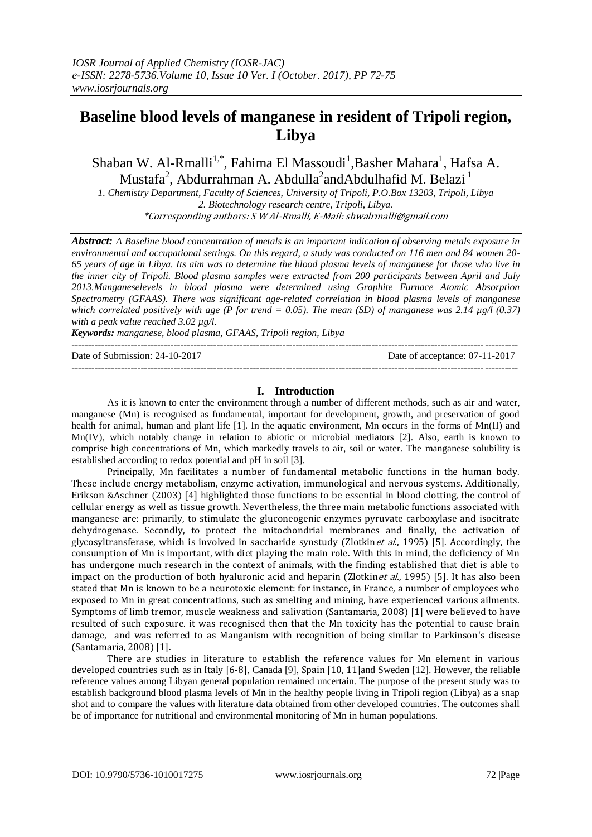# **Baseline blood levels of manganese in resident of Tripoli region, Libya**

Shaban W. Al-Rmalli<sup>1,\*</sup>, Fahima El Massoudi<sup>1</sup>, Basher Mahara<sup>1</sup>, Hafsa A. Mustafa<sup>2</sup>, Abdurrahman A. Abdulla<sup>2</sup>andAbdulhafid M. Belazi  $^1$ 

*1. Chemistry Department, Faculty of Sciences, University of Tripoli, P.O.Box 13203, Tripoli, Libya 2. Biotechnology research centre, Tripoli, Libya.* \*Corresponding authors: S W Al-Rmalli, E-Mail[: shwalrmalli@gmail.com](mailto:shwalrmalli@gmail.com)

*Abstract: A Baseline blood concentration of metals is an important indication of observing metals exposure in environmental and occupational settings. On this regard, a study was conducted on 116 men and 84 women 20- 65 years of age in Libya. Its aim was to determine the blood plasma levels of manganese for those who live in the inner city of Tripoli. Blood plasma samples were extracted from 200 participants between April and July 2013.Manganeselevels in blood plasma were determined using Graphite Furnace Atomic Absorption Spectrometry (GFAAS). There was significant age-related correlation in blood plasma levels of manganese which correlated positively with age (P for trend = 0.05). The mean (SD) of manganese was 2.14 µg/l (0.37) with a peak value reached 3.02 µg/l.* 

*Keywords: manganese, blood plasma, GFAAS, Tripoli region, Libya*

| Date of Submission: 24-10-2017 | Date of acceptance: 07-11-2017 |
|--------------------------------|--------------------------------|
|                                |                                |

## **I. Introduction**

As it is known to enter the environment through a number of different methods, such as air and water, manganese (Mn) is recognised as fundamental, important for development, growth, and preservation of good health for animal, human and plant life [1]. In the aquatic environment, Mn occurs in the forms of Mn(II) and Mn(IV), which notably change in relation to abiotic or microbial mediators [2]. Also, earth is known to comprise high concentrations of Mn, which markedly travels to air, soil or water. The manganese solubility is established according to redox potential and pH in soil [3].

Principally, Mn facilitates a number of fundamental metabolic functions in the human body. These include energy metabolism, enzyme activation, immunological and nervous systems. Additionally, Erikson &Aschner (2003) [4] highlighted those functions to be essential in blood clotting, the control of cellular energy as well as tissue growth. Nevertheless, the three main metabolic functions associated with manganese are: primarily, to stimulate the gluconeogenic enzymes pyruvate carboxylase and isocitrate dehydrogenase. Secondly, to protect the mitochondrial membranes and finally, the activation of glycosyltransferase, which is involved in saccharide synstudy (Zlotkin *et al.*, 1995) [5]. Accordingly, the consumption of Mn is important, with diet playing the main role. With this in mind, the deficiency of Mn has undergone much research in the context of animals, with the finding established that diet is able to impact on the production of both hyaluronic acid and heparin (Zlotkin *et al.*, 1995) [5]. It has also been stated that Mn is known to be a neurotoxic element: for instance, in France, a number of employees who exposed to Mn in great concentrations, such as smelting and mining, have experienced various ailments. Symptoms of limb tremor, muscle weakness and salivation (Santamaria, 2008) [1] were believed to have resulted of such exposure. it was recognised then that the Mn toxicity has the potential to cause brain damage, and was referred to as Manganism with recognition of being similar to Parkinson's disease (Santamaria, 2008) [1].

There are studies in literature to establish the reference values for Mn element in various developed countries such as in Italy [6-8], Canada [9], Spain [10, 11]and Sweden [12]. However, the reliable reference values among Libyan general population remained uncertain. The purpose of the present study was to establish background blood plasma levels of Mn in the healthy people living in Tripoli region (Libya) as a snap shot and to compare the values with literature data obtained from other developed countries. The outcomes shall be of importance for nutritional and environmental monitoring of Mn in human populations.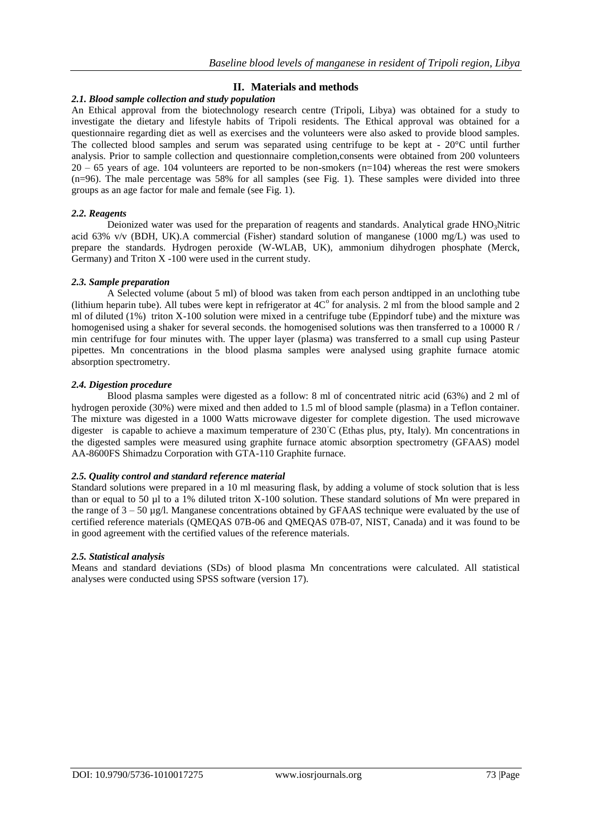# **II. Materials and methods**

## *2.1. Blood sample collection and study population*

An Ethical approval from the biotechnology research centre (Tripoli, Libya) was obtained for a study to investigate the dietary and lifestyle habits of Tripoli residents. The Ethical approval was obtained for a questionnaire regarding diet as well as exercises and the volunteers were also asked to provide blood samples. The collected blood samples and serum was separated using centrifuge to be kept at - 20°C until further analysis. Prior to sample collection and questionnaire completion,consents were obtained from 200 volunteers  $20 - 65$  years of age. 104 volunteers are reported to be non-smokers (n=104) whereas the rest were smokers (n=96). The male percentage was 58% for all samples (see Fig. 1). These samples were divided into three groups as an age factor for male and female (see Fig. 1).

## *2.2. Reagents*

Deionized water was used for the preparation of reagents and standards. Analytical grade  $HNO<sub>3</sub>Nitric$ acid 63% v/v (BDH, UK).A commercial (Fisher) standard solution of manganese (1000 mg/L) was used to prepare the standards. Hydrogen peroxide (W-WLAB, UK), ammonium dihydrogen phosphate (Merck, Germany) and Triton X -100 were used in the current study.

## *2.3. Sample preparation*

A Selected volume (about 5 ml) of blood was taken from each person andtipped in an unclothing tube (lithium heparin tube). All tubes were kept in refrigerator at  $4C^{\circ}$  for analysis. 2 ml from the blood sample and 2 ml of diluted (1%) triton X-100 solution were mixed in a centrifuge tube (Eppindorf tube) and the mixture was homogenised using a shaker for several seconds. the homogenised solutions was then transferred to a 10000 R / min centrifuge for four minutes with. The upper layer (plasma) was transferred to a small cup using Pasteur pipettes. Mn concentrations in the blood plasma samples were analysed using graphite furnace atomic absorption spectrometry.

## *2.4. Digestion procedure*

Blood plasma samples were digested as a follow: 8 ml of concentrated nitric acid (63%) and 2 ml of hydrogen peroxide (30%) were mixed and then added to 1.5 ml of blood sample (plasma) in a Teflon container. The mixture was digested in a 1000 Watts microwave digester for complete digestion. The used microwave digester is capable to achieve a maximum temperature of 230**◦**C (Ethas plus, pty, Italy). Mn concentrations in the digested samples were measured using graphite furnace atomic absorption spectrometry (GFAAS) model AA-8600FS Shimadzu Corporation with GTA-110 Graphite furnace.

## *2.5. Quality control and standard reference material*

Standard solutions were prepared in a 10 ml measuring flask, by adding a volume of stock solution that is less than or equal to 50 µl to a 1% diluted triton X-100 solution. These standard solutions of Mn were prepared in the range of  $3 - 50 \mu g/l$ . Manganese concentrations obtained by GFAAS technique were evaluated by the use of certified reference materials (QMEQAS 07B-06 and QMEQAS 07B-07, NIST, Canada) and it was found to be in good agreement with the certified values of the reference materials.

## *2.5. Statistical analysis*

Means and standard deviations (SDs) of blood plasma Mn concentrations were calculated. All statistical analyses were conducted using SPSS software (version 17).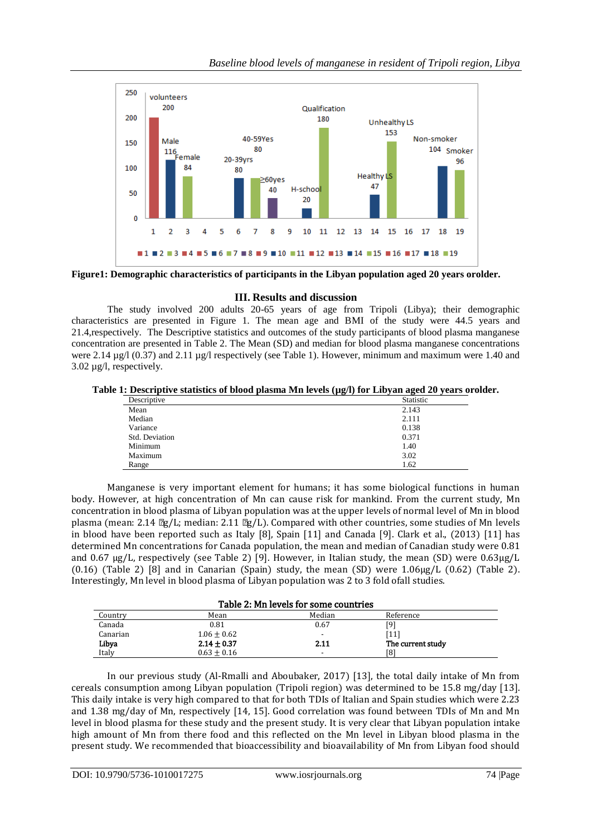

**Figure1: Demographic characteristics of participants in the Libyan population aged 20 years orolder.**

# **III. Results and discussion**

The study involved 200 adults 20-65 years of age from Tripoli (Libya); their demographic characteristics are presented in Figure 1. The mean age and BMI of the study were 44.5 years and 21.4,respectively. The Descriptive statistics and outcomes of the study participants of blood plasma manganese concentration are presented in Table 2. The Mean (SD) and median for blood plasma manganese concentrations were 2.14  $\mu$ g/l (0.37) and 2.11  $\mu$ g/l respectively (see Table 1). However, minimum and maximum were 1.40 and 3.02 µg/l, respectively.

**Table 1: Descriptive statistics of blood plasma Mn levels (µg/l) for Libyan aged 20 years orolder.**

|                | .                |
|----------------|------------------|
| Descriptive    | <b>Statistic</b> |
| Mean           | 2.143            |
| Median         | 2.111            |
| Variance       | 0.138            |
| Std. Deviation | 0.371            |
| Minimum        | 1.40             |
| Maximum        | 3.02             |
| Range          | 1.62             |
|                |                  |

Manganese is very important element for humans; it has some biological functions in human body. However, at high concentration of Mn can cause risk for mankind. From the current study, Mn concentration in blood plasma of Libyan population was at the upper levels of normal level of Mn in blood plasma (mean: 2.14 µg/L; median: 2.11 µg/L). Compared with other countries, some studies of Mn levels in blood have been reported such as Italy [8], Spain [11] and Canada [9]. Clark et al., (2013) [11] has determined Mn concentrations for Canada population, the mean and median of Canadian study were 0.81 and 0.67 μg/L, respectively (see Table 2) [9]. However, in Italian study, the mean (SD) were 0.63μg/L (0.16) (Table 2) [8] and in Canarian (Spain) study, the mean (SD) were  $1.06\mu g/L$  (0.62) (Table 2). Interestingly, Mn level in blood plasma of Libyan population was 2 to 3 fold ofall studies.

| Table 2: Mn levels for some countries |                 |        |                   |
|---------------------------------------|-----------------|--------|-------------------|
| Country                               | Mean            | Median | Reference         |
| Canada                                | 0.81            | 0.67   | [9]               |
| Canarian                              | $1.06 + 0.62$   |        | [11]              |
| Libya                                 | $2.14 \pm 0.37$ | 2.11   | The current study |
| Italy                                 | $0.63 + 0.16$   |        | [8]               |

In our previous study (Al-Rmalli and Aboubaker, 2017) [13], the total daily intake of Mn from cereals consumption among Libyan population (Tripoli region) was determined to be 15.8 mg/day [13]. This daily intake is very high compared to that for both TDIs of Italian and Spain studies which were 2.23 and 1.38 mg/day of Mn, respectively [14, 15]. Good correlation was found between TDIs of Mn and Mn level in blood plasma for these study and the present study. It is very clear that Libyan population intake high amount of Mn from there food and this reflected on the Mn level in Libyan blood plasma in the present study. We recommended that bioaccessibility and bioavailability of Mn from Libyan food should